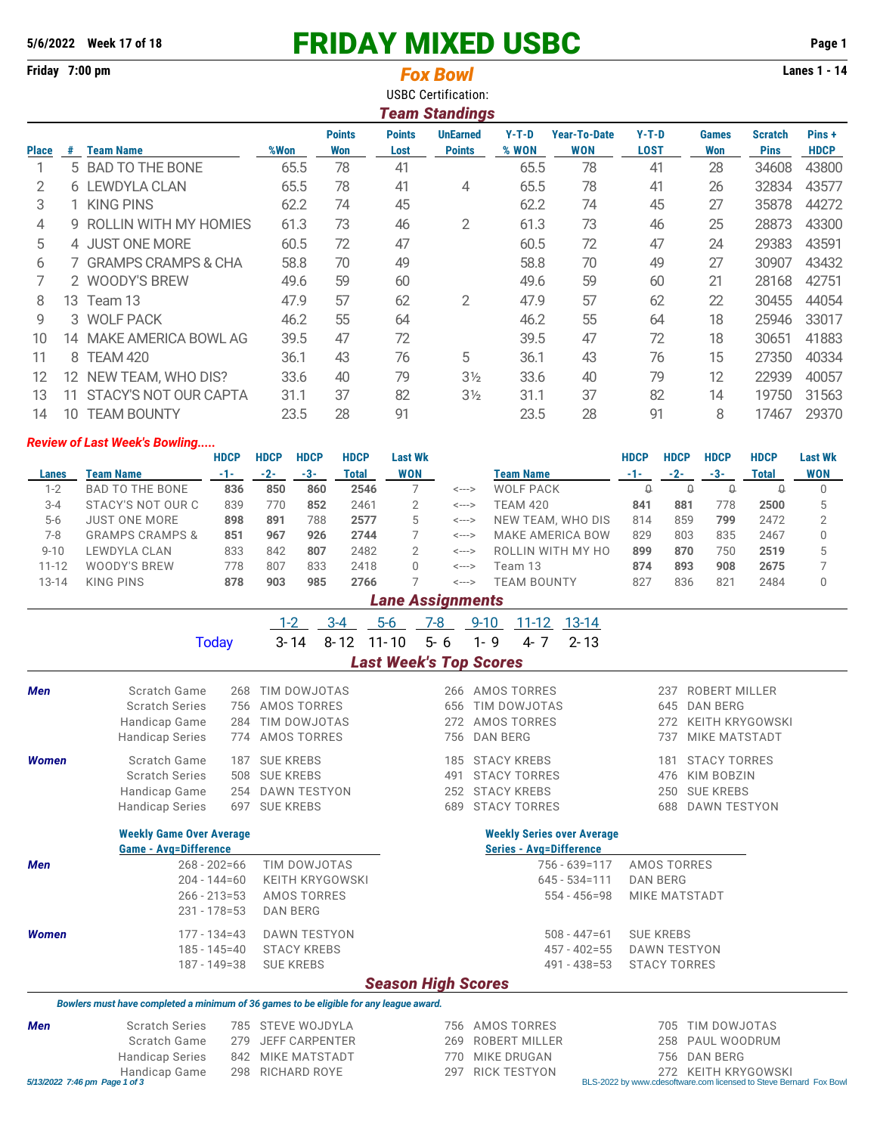## **5/6/2022 Week 17 of 18** FRIDAY MIXED USBC **Page 1**

**Friday 7:00 pm Lanes 1 - 14** *Fox Bowl*

|              | <b>USBC Certification:</b>                                                                                                                |                       |      |     |      |                       |       |            |             |     |             |             |  |
|--------------|-------------------------------------------------------------------------------------------------------------------------------------------|-----------------------|------|-----|------|-----------------------|-------|------------|-------------|-----|-------------|-------------|--|
|              |                                                                                                                                           |                       |      |     |      | <b>Team Standings</b> |       |            |             |     |             |             |  |
|              | <b>Points</b><br>$Y-T-D$<br><b>Year-To-Date</b><br>$Y-T-D$<br>Pins+<br><b>Points</b><br><b>UnEarned</b><br><b>Scratch</b><br><b>Games</b> |                       |      |     |      |                       |       |            |             |     |             |             |  |
| <b>Place</b> | #                                                                                                                                         | <b>Team Name</b>      | %Won | Won | Lost | <b>Points</b>         | % WON | <b>WON</b> | <b>LOST</b> | Won | <b>Pins</b> | <b>HDCP</b> |  |
|              |                                                                                                                                           | 5 BAD TO THE BONE     | 65.5 | 78  | 41   |                       | 65.5  | 78         | 41          | 28  | 34608       | 43800       |  |
| 2            |                                                                                                                                           | 6 LEWDYLA CLAN        | 65.5 | 78  | 41   | 4                     | 65.5  | 78         | 41          | 26  | 32834       | 43577       |  |
| 3            |                                                                                                                                           | <b>KING PINS</b>      | 62.2 | 74  | 45   |                       | 62.2  | 74         | 45          | 27  | 35878       | 44272       |  |
| 4            | g.                                                                                                                                        | ROLLIN WITH MY HOMIES | 61.3 | 73  | 46   | 2                     | 61.3  | 73         | 46          | 25  | 28873       | 43300       |  |
| 5            |                                                                                                                                           | 4 JUST ONE MORE       | 60.5 | 72  | 47   |                       | 60.5  | 72         | 47          | 24  | 29383       | 43591       |  |
| 6            |                                                                                                                                           | 7 GRAMPS CRAMPS & CHA | 58.8 | 70  | 49   |                       | 58.8  | 70         | 49          | 27  | 30907       | 43432       |  |
|              |                                                                                                                                           | 2 WOODY'S BREW        | 49.6 | 59  | 60   |                       | 49.6  | 59         | 60          | 21  | 28168       | 42751       |  |
| 8            | 13.                                                                                                                                       | Team 13               | 47.9 | 57  | 62   | $\overline{2}$        | 47.9  | 57         | 62          | 22  | 30455       | 44054       |  |
| 9            |                                                                                                                                           | 3 WOLF PACK           | 46.2 | 55  | 64   |                       | 46.2  | 55         | 64          | 18  | 25946       | 33017       |  |
| 10           | 14                                                                                                                                        | MAKE AMERICA BOWL AG  | 39.5 | 47  | 72   |                       | 39.5  | 47         | 72          | 18  | 30651       | 41883       |  |
| 11           | 8                                                                                                                                         | <b>TEAM 420</b>       | 36.1 | 43  | 76   | 5                     | 36.1  | 43         | 76          | 15  | 27350       | 40334       |  |
| 12           | 12.                                                                                                                                       | NEW TEAM, WHO DIS?    | 33.6 | 40  | 79   | $3\frac{1}{2}$        | 33.6  | 40         | 79          | 12  | 22939       | 40057       |  |
| 13           | 11                                                                                                                                        | STACY'S NOT OUR CAPTA | 31.1 | 37  | 82   | $3\frac{1}{2}$        | 31.1  | 37         | 82          | 14  | 19750       | 31563       |  |
| 14           | 10                                                                                                                                        | <b>TEAM BOUNTY</b>    | 23.5 | 28  | 91   |                       | 23.5  | 28         | 91          | 8   | 17467       | 29370       |  |

## *Review of Last Week's Bowling.....*

|           |                            | <b>HDCP</b> | <b>HDCP</b> | <b>HDCP</b> | <b>HDCP</b> | Last Wk    |       |                         | <b>HDCP</b> | HDCP  | <b>HDCP</b> | <b>HDCP</b> | <b>Last Wk</b> |
|-----------|----------------------------|-------------|-------------|-------------|-------------|------------|-------|-------------------------|-------------|-------|-------------|-------------|----------------|
| Lanes     | Team Name                  | $-1-$       | $-2-$       | -3-         | Total       | <b>WON</b> |       | Team Name               | $-1-$       | $-2-$ | $-3-$       | Total       | <b>WON</b>     |
| $1-2$     | <b>BAD TO THE BONE</b>     | 836         | 850         | 860         | 2546        |            | <---> | WOLF PACK               |             | Q     | ₩           |             |                |
| $3 - 4$   | STACY'S NOT OUR C          | 839         | 770         | 852         | 2461        |            | <---> | <b>TEAM 420</b>         | 841         | 881   | 778         | 2500        | 5              |
| $5-6$     | <b>JUST ONE MORE</b>       | 898         | 891         | 788         | 2577        | 5.         | <---> | NEW TEAM, WHO DIS       | 814         | 859   | 799         | 2472        |                |
| 7-8       | <b>GRAMPS CRAMPS &amp;</b> | 851         | 967         | 926         | 2744        |            | <---> | <b>MAKE AMERICA BOW</b> | 829         | 803   | 835         | 2467        |                |
| $9 - 10$  | LEWDYLA CLAN               | 833         | 842         | 807         | 2482        |            | <---> | ROLLIN WITH MY HO       | 899         | 870   | 750         | 2519        | 5              |
| $11 - 12$ | WOODY'S BREW               | 778         | 807         | 833         | 2418        |            | <---> | Team 13                 | 874         | 893   | 908         | 2675        |                |
| $13 - 14$ | KING PINS                  | 878         | 903         | 985         | 2766        |            | <---> | TEAM BOUNTY             | 827         | 836   | 821         | 2484        |                |

## *Lane Assignments*

|                               |                                                                                        |              | $1 - 2$                                     | $3 - 4$  | $5-6$     | 7-8                           | $9 - 10$        | $11 - 12$            | 13-14                             |                     |                                                                                              |  |  |  |  |  |
|-------------------------------|----------------------------------------------------------------------------------------|--------------|---------------------------------------------|----------|-----------|-------------------------------|-----------------|----------------------|-----------------------------------|---------------------|----------------------------------------------------------------------------------------------|--|--|--|--|--|
|                               | <b>Today</b>                                                                           |              | $3 - 14$                                    | $8 - 12$ | $11 - 10$ | $5 - 6$                       | $1 - 9$         | $4 - 7$              | $2 - 13$                          |                     |                                                                                              |  |  |  |  |  |
|                               |                                                                                        |              |                                             |          |           | <b>Last Week's Top Scores</b> |                 |                      |                                   |                     |                                                                                              |  |  |  |  |  |
| <b>Men</b>                    | Scratch Game                                                                           | 268          | TIM DOWJOTAS<br>AMOS TORRES<br>TIM DOWJOTAS |          |           | 266                           |                 | <b>AMOS TORRES</b>   |                                   | 237                 | <b>ROBERT MILLER</b>                                                                         |  |  |  |  |  |
|                               | <b>Scratch Series</b>                                                                  | 756          |                                             |          |           | 656                           |                 | TIM DOWJOTAS         |                                   | 645                 | <b>DAN BERG</b>                                                                              |  |  |  |  |  |
|                               | Handicap Game                                                                          | 284          |                                             |          |           | AMOS TORRES<br>272            |                 |                      |                                   | 272                 | <b>KEITH KRYGOWSKI</b>                                                                       |  |  |  |  |  |
|                               | <b>Handicap Series</b>                                                                 | 774          | <b>AMOS TORRES</b>                          |          |           | 756                           | <b>DAN BERG</b> |                      |                                   | 737                 | <b>MIKE MATSTADT</b>                                                                         |  |  |  |  |  |
| <b>Women</b>                  | Scratch Game                                                                           | 187          | <b>SUE KREBS</b>                            |          |           | 185                           |                 | <b>STACY KREBS</b>   |                                   | 181                 | <b>STACY TORRES</b>                                                                          |  |  |  |  |  |
|                               | <b>Scratch Series</b>                                                                  | 508          | <b>SUE KREBS</b>                            |          |           | 491                           |                 | <b>STACY TORRES</b>  |                                   | 476                 | <b>KIM BOBZIN</b>                                                                            |  |  |  |  |  |
|                               | Handicap Game                                                                          | 254          | <b>DAWN TESTYON</b>                         |          |           | 252                           |                 | <b>STACY KREBS</b>   |                                   | 250                 | <b>SUE KREBS</b>                                                                             |  |  |  |  |  |
|                               | <b>Handicap Series</b>                                                                 | 697          | <b>SUE KREBS</b>                            |          |           | 689                           |                 | <b>STACY TORRES</b>  |                                   | 688                 | <b>DAWN TESTYON</b>                                                                          |  |  |  |  |  |
|                               | <b>Weekly Game Over Average</b>                                                        |              |                                             |          |           |                               |                 |                      | <b>Weekly Series over Average</b> |                     |                                                                                              |  |  |  |  |  |
|                               | <b>Game - Avg=Difference</b>                                                           |              |                                             |          |           |                               |                 |                      | <b>Series - Avg=Difference</b>    |                     |                                                                                              |  |  |  |  |  |
| <b>Men</b>                    | $268 - 202 = 66$                                                                       | TIM DOWJOTAS |                                             |          |           |                               |                 | 756 - 639=117        | <b>AMOS TORRES</b>                |                     |                                                                                              |  |  |  |  |  |
|                               | $204 - 144 = 60$                                                                       |              | <b>KEITH KRYGOWSKI</b>                      |          |           |                               |                 |                      | $645 - 534 = 111$                 | <b>DAN BERG</b>     |                                                                                              |  |  |  |  |  |
|                               | $266 - 213 = 53$                                                                       |              | AMOS TORRES                                 |          |           |                               |                 |                      | $554 - 456 = 98$                  |                     | <b>MIKE MATSTADT</b>                                                                         |  |  |  |  |  |
|                               | $231 - 178 = 53$                                                                       |              | <b>DAN BERG</b>                             |          |           |                               |                 |                      |                                   |                     |                                                                                              |  |  |  |  |  |
| <b>Women</b>                  | $177 - 134 = 43$                                                                       |              | <b>DAWN TESTYON</b>                         |          |           |                               |                 |                      | $508 - 447 = 61$                  | <b>SUE KREBS</b>    |                                                                                              |  |  |  |  |  |
|                               | $185 - 145 = 40$                                                                       |              | <b>STACY KREBS</b>                          |          |           |                               |                 |                      | $457 - 402 = 55$                  | <b>DAWN TESTYON</b> |                                                                                              |  |  |  |  |  |
|                               | $187 - 149 = 38$                                                                       |              | <b>SUE KREBS</b>                            |          |           |                               |                 |                      | $491 - 438 = 53$                  | <b>STACY TORRES</b> |                                                                                              |  |  |  |  |  |
|                               |                                                                                        |              |                                             |          |           | <b>Season High Scores</b>     |                 |                      |                                   |                     |                                                                                              |  |  |  |  |  |
|                               | Bowlers must have completed a minimum of 36 games to be eligible for any league award. |              |                                             |          |           |                               |                 |                      |                                   |                     |                                                                                              |  |  |  |  |  |
| <b>Men</b>                    | <b>Scratch Series</b>                                                                  | 785          | STEVE WOJDYLA                               |          |           | 756                           |                 | <b>AMOS TORRES</b>   |                                   | 705                 | TIM DOWJOTAS                                                                                 |  |  |  |  |  |
|                               | Scratch Game                                                                           | 279          | <b>JEFF CARPENTER</b>                       |          |           | 269                           |                 | <b>ROBERT MILLER</b> |                                   | 258                 | PAUL WOODRUM                                                                                 |  |  |  |  |  |
|                               | <b>Handicap Series</b>                                                                 | 842          | <b>MIKE MATSTADT</b>                        |          |           | 770                           |                 | <b>MIKE DRUGAN</b>   |                                   | 756                 | <b>DAN BERG</b>                                                                              |  |  |  |  |  |
| 5/13/2022 7:46 pm Page 1 of 3 | Handicap Game                                                                          | 298          | <b>RICHARD ROYE</b>                         |          |           | 297                           |                 | <b>RICK TESTYON</b>  |                                   |                     | KEITH KRYGOWSKI<br>272<br>BLS-2022 by www.cdesoftware.com licensed to Steve Bernard Fox Bowl |  |  |  |  |  |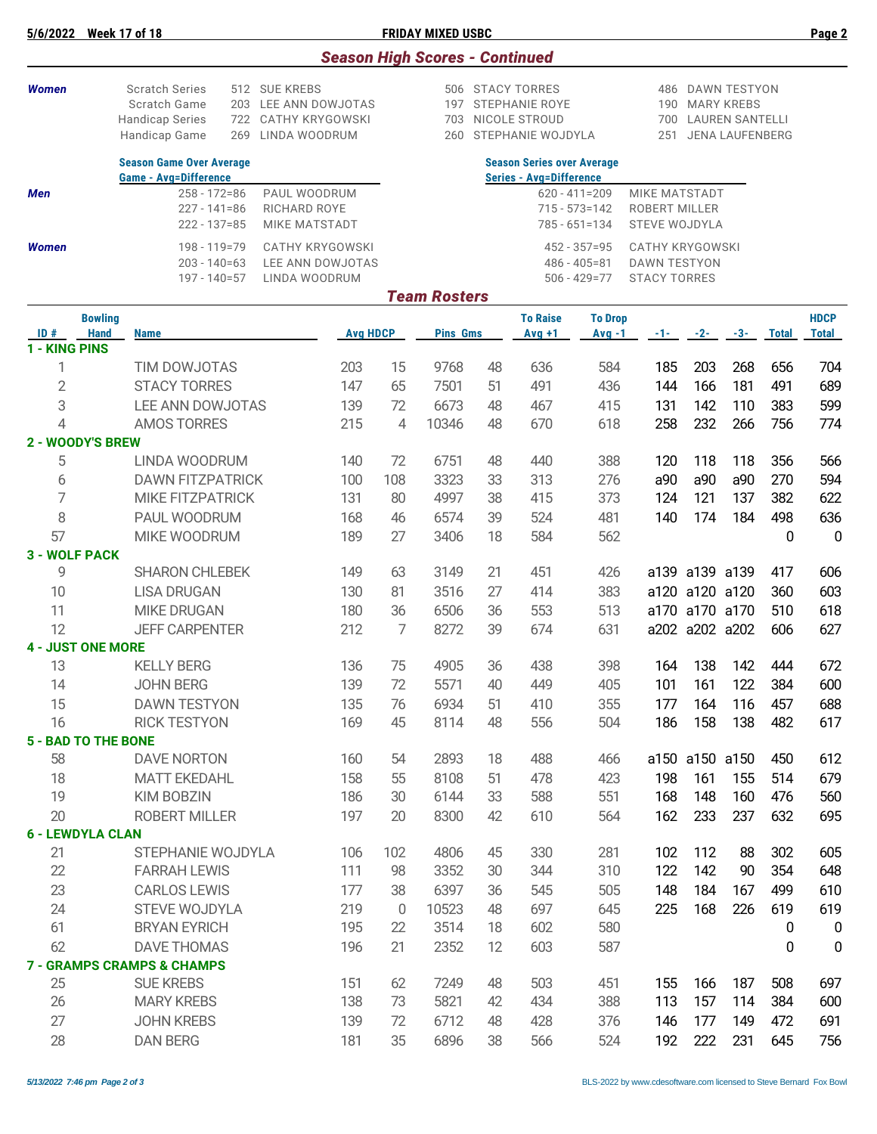| <b>Women</b>         |                                                                                                                     | <b>Scratch Series</b><br>Scratch Game<br><b>Handicap Series</b><br>Handicap Game                                                                 | 203<br>722<br>269 | 512 SUE KREBS<br>LEE ANN DOWJOTAS<br><b>CATHY KRYGOWSKI</b><br>LINDA WOODRUM |                 |             | 197<br>703<br>260   |          | 506 STACY TORRES<br><b>STEPHANIE ROYE</b><br>NICOLE STROUD<br>STEPHANIE WOJDYLA | DAWN TESTYON<br>486<br>190<br><b>MARY KREBS</b><br>700<br><b>LAUREN SANTELLI</b><br><b>JENA LAUFENBERG</b><br>251 |                                                               |                |                |              |                             |
|----------------------|---------------------------------------------------------------------------------------------------------------------|--------------------------------------------------------------------------------------------------------------------------------------------------|-------------------|------------------------------------------------------------------------------|-----------------|-------------|---------------------|----------|---------------------------------------------------------------------------------|-------------------------------------------------------------------------------------------------------------------|---------------------------------------------------------------|----------------|----------------|--------------|-----------------------------|
|                      |                                                                                                                     | <b>Season Game Over Average</b>                                                                                                                  |                   |                                                                              |                 |             |                     |          | <b>Season Series over Average</b>                                               |                                                                                                                   |                                                               |                |                |              |                             |
| Men                  |                                                                                                                     | <b>Game - Avg=Difference</b><br>$258 - 172 = 86$<br>PAUL WOODRUM<br>$227 - 141 = 86$<br>RICHARD ROYE<br>$222 - 137 = 85$<br><b>MIKE MATSTADT</b> |                   |                                                                              |                 |             |                     |          | <b>Series - Avg=Difference</b>                                                  | $620 - 411 = 209$<br>$715 - 573 = 142$<br>$785 - 651 = 134$                                                       | <b>MIKE MATSTADT</b><br>ROBERT MILLER<br><b>STEVE WOJDYLA</b> |                |                |              |                             |
| <b>Women</b>         | 198 - 119=79<br><b>CATHY KRYGOWSKI</b><br>$203 - 140 = 63$<br>LEE ANN DOWJOTAS<br>$197 - 140 = 57$<br>LINDA WOODRUM |                                                                                                                                                  |                   |                                                                              |                 |             |                     |          | $452 - 357 = 95$<br>$486 - 405 = 81$<br>506 - 429=77                            | <b>CATHY KRYGOWSKI</b><br><b>DAWN TESTYON</b><br><b>STACY TORRES</b>                                              |                                                               |                |                |              |                             |
|                      |                                                                                                                     |                                                                                                                                                  |                   |                                                                              |                 |             | <b>Team Rosters</b> |          |                                                                                 |                                                                                                                   |                                                               |                |                |              |                             |
| ID#                  | <b>Bowling</b><br><b>Hand</b>                                                                                       | <b>Name</b>                                                                                                                                      |                   |                                                                              | <b>Avg HDCP</b> |             | <b>Pins Gms</b>     |          | <b>To Raise</b><br>$Avg +1$                                                     | <b>To Drop</b><br>$Avg -1$                                                                                        | -1-                                                           | $-2-$          | $-3-$          | <b>Total</b> | <b>HDCP</b><br><b>Total</b> |
| 1 - KING PINS        |                                                                                                                     |                                                                                                                                                  |                   |                                                                              |                 |             |                     |          |                                                                                 |                                                                                                                   |                                                               |                |                |              |                             |
| 1                    |                                                                                                                     | <b>TIM DOWJOTAS</b>                                                                                                                              |                   |                                                                              | 203             | 15          | 9768                | 48       | 636                                                                             | 584                                                                                                               | 185                                                           | 203            | 268            | 656          | 704                         |
| $\overline{2}$       |                                                                                                                     | <b>STACY TORRES</b>                                                                                                                              |                   |                                                                              | 147             | 65          | 7501                | 51       | 491                                                                             | 436                                                                                                               | 144                                                           | 166            | 181            | 491          | 689                         |
| 3<br>4               |                                                                                                                     | LEE ANN DOWJOTAS<br><b>AMOS TORRES</b>                                                                                                           |                   |                                                                              | 139<br>215      | 72<br>4     | 6673<br>10346       | 48       | 467<br>670                                                                      | 415<br>618                                                                                                        | 131<br>258                                                    | 142<br>232     | 110<br>266     | 383<br>756   | 599<br>774                  |
|                      | <b>2 - WOODY'S BREW</b>                                                                                             |                                                                                                                                                  |                   |                                                                              |                 |             |                     | 48       |                                                                                 |                                                                                                                   |                                                               |                |                |              |                             |
| 5                    |                                                                                                                     | LINDA WOODRUM                                                                                                                                    |                   |                                                                              | 140             | 72          | 6751                | 48       | 440                                                                             | 388                                                                                                               | 120                                                           | 118            | 118            | 356          | 566                         |
| 6                    |                                                                                                                     | <b>DAWN FITZPATRICK</b>                                                                                                                          |                   |                                                                              | 100             | 108         | 3323                | 33       | 313                                                                             | 276                                                                                                               | a90                                                           | a90            | a90            | 270          | 594                         |
| 7                    |                                                                                                                     | <b>MIKE FITZPATRICK</b>                                                                                                                          |                   |                                                                              | 131             | 80          | 4997                | 38       | 415                                                                             | 373                                                                                                               | 124                                                           | 121            | 137            | 382          | 622                         |
| 8                    |                                                                                                                     | PAUL WOODRUM                                                                                                                                     |                   |                                                                              | 168             | 46          | 6574                | 39       | 524                                                                             | 481                                                                                                               | 140                                                           | 174            | 184            | 498          | 636                         |
| 57                   |                                                                                                                     | MIKE WOODRUM                                                                                                                                     |                   |                                                                              | 189             | 27          | 3406                | 18       | 584                                                                             | 562                                                                                                               |                                                               |                |                | 0            | $\mathbf 0$                 |
| <b>3 - WOLF PACK</b> |                                                                                                                     |                                                                                                                                                  |                   |                                                                              |                 |             |                     |          |                                                                                 |                                                                                                                   |                                                               |                |                |              |                             |
| 9                    |                                                                                                                     | <b>SHARON CHLEBEK</b>                                                                                                                            |                   |                                                                              | 149             | 63          | 3149                | 21       | 451                                                                             | 426                                                                                                               | a139                                                          |                | a139 a139      | 417          | 606                         |
| 10                   |                                                                                                                     | <b>LISA DRUGAN</b>                                                                                                                               |                   |                                                                              | 130             | 81          | 3516                | 27       | 414                                                                             | 383                                                                                                               | a120                                                          |                | a120 a120      | 360          | 603                         |
| 11                   |                                                                                                                     | <b>MIKE DRUGAN</b>                                                                                                                               |                   |                                                                              | 180             | 36          | 6506                | 36       | 553                                                                             | 513                                                                                                               | a170                                                          |                | a170 a170      | 510          | 618                         |
| 12                   | <b>4 - JUST ONE MORE</b>                                                                                            | <b>JEFF CARPENTER</b>                                                                                                                            |                   |                                                                              | 212             | 7           | 8272                | 39       | 674                                                                             | 631                                                                                                               |                                                               | a202 a202 a202 |                | 606          | 627                         |
| 13                   |                                                                                                                     | <b>KELLY BERG</b>                                                                                                                                |                   |                                                                              | 136             | 75          | 4905                | 36       | 438                                                                             | 398                                                                                                               | 164                                                           | 138            | 142            | 444          | 672                         |
| 14                   |                                                                                                                     | <b>JOHN BERG</b>                                                                                                                                 |                   |                                                                              | 139             | 72          | 5571                | 40       | 449                                                                             | 405                                                                                                               | 101                                                           | 161            | 122            | 384          | 600                         |
| 15                   |                                                                                                                     | <b>DAWN TESTYON</b>                                                                                                                              |                   |                                                                              | 135             | 76          | 6934                | 51       | 410                                                                             | 355                                                                                                               | 177                                                           | 164            | 116            | 457          | 688                         |
| 16                   |                                                                                                                     | <b>RICK TESTYON</b>                                                                                                                              |                   |                                                                              | 169             | 45          | 8114                | 48       | 556                                                                             | 504                                                                                                               | 186                                                           | 158            | 138            | 482          | 617                         |
|                      | <b>5 - BAD TO THE BONE</b>                                                                                          |                                                                                                                                                  |                   |                                                                              |                 |             |                     |          |                                                                                 |                                                                                                                   |                                                               |                |                |              |                             |
| 58                   |                                                                                                                     | <b>DAVE NORTON</b>                                                                                                                               |                   |                                                                              | 160             | 54          | 2893                | 18       | 488                                                                             | 466                                                                                                               |                                                               |                | a150 a150 a150 | 450          | 612                         |
| 18                   |                                                                                                                     | <b>MATT EKEDAHL</b>                                                                                                                              |                   |                                                                              | 158             | 55          | 8108                | 51       | 478                                                                             | 423                                                                                                               | 198                                                           | 161            | 155            | 514          | 679                         |
| 19                   |                                                                                                                     | <b>KIM BOBZIN</b>                                                                                                                                |                   |                                                                              | 186             | 30          | 6144                | 33       | 588                                                                             | 551                                                                                                               | 168                                                           | 148            | 160            | 476          | 560                         |
| 20                   |                                                                                                                     | <b>ROBERT MILLER</b>                                                                                                                             |                   |                                                                              | 197             | 20          | 8300                | 42       | 610                                                                             | 564                                                                                                               | 162                                                           | 233            | 237            | 632          | 695                         |
|                      | <b>6 - LEWDYLA CLAN</b>                                                                                             |                                                                                                                                                  |                   |                                                                              |                 |             |                     |          |                                                                                 |                                                                                                                   |                                                               |                |                |              |                             |
| 21<br>22             |                                                                                                                     | STEPHANIE WOJDYLA<br><b>FARRAH LEWIS</b>                                                                                                         |                   |                                                                              | 106<br>111      | 102<br>98   | 4806<br>3352        | 45<br>30 | 330<br>344                                                                      | 281<br>310                                                                                                        | 102<br>122                                                    | 112<br>142     | 88<br>90       | 302<br>354   | 605<br>648                  |
| 23                   |                                                                                                                     | <b>CARLOS LEWIS</b>                                                                                                                              |                   |                                                                              | 177             | 38          | 6397                | 36       | 545                                                                             | 505                                                                                                               | 148                                                           | 184            | 167            | 499          | 610                         |
| 24                   |                                                                                                                     | <b>STEVE WOJDYLA</b>                                                                                                                             |                   |                                                                              | 219             | $\mathbf 0$ | 10523               | 48       | 697                                                                             | 645                                                                                                               | 225                                                           | 168            | 226            | 619          | 619                         |
| 61                   |                                                                                                                     | <b>BRYAN EYRICH</b>                                                                                                                              |                   |                                                                              | 195             | 22          | 3514                | 18       | 602                                                                             | 580                                                                                                               |                                                               |                |                | 0            | 0                           |
| 62                   |                                                                                                                     | <b>DAVE THOMAS</b>                                                                                                                               |                   |                                                                              | 196             | 21          | 2352                | 12       | 603                                                                             | 587                                                                                                               |                                                               |                |                | 0            | $\mathbf 0$                 |
|                      |                                                                                                                     | <b>7 - GRAMPS CRAMPS &amp; CHAMPS</b>                                                                                                            |                   |                                                                              |                 |             |                     |          |                                                                                 |                                                                                                                   |                                                               |                |                |              |                             |
| 25                   |                                                                                                                     | <b>SUE KREBS</b>                                                                                                                                 |                   |                                                                              | 151             | 62          | 7249                | 48       | 503                                                                             | 451                                                                                                               | 155                                                           | 166            | 187            | 508          | 697                         |
| 26                   |                                                                                                                     | <b>MARY KREBS</b>                                                                                                                                |                   |                                                                              | 138             | 73          | 5821                | 42       | 434                                                                             | 388                                                                                                               | 113                                                           | 157            | 114            | 384          | 600                         |
| 27                   |                                                                                                                     | <b>JOHN KREBS</b>                                                                                                                                |                   |                                                                              | 139             | 72          | 6712                | 48       | 428                                                                             | 376                                                                                                               | 146                                                           | 177            | 149            | 472          | 691                         |
| 28                   |                                                                                                                     | <b>DAN BERG</b>                                                                                                                                  |                   |                                                                              | 181             | 35          | 6896                | 38       | 566                                                                             | 524                                                                                                               | 192                                                           | 222            | 231            | 645          | 756                         |